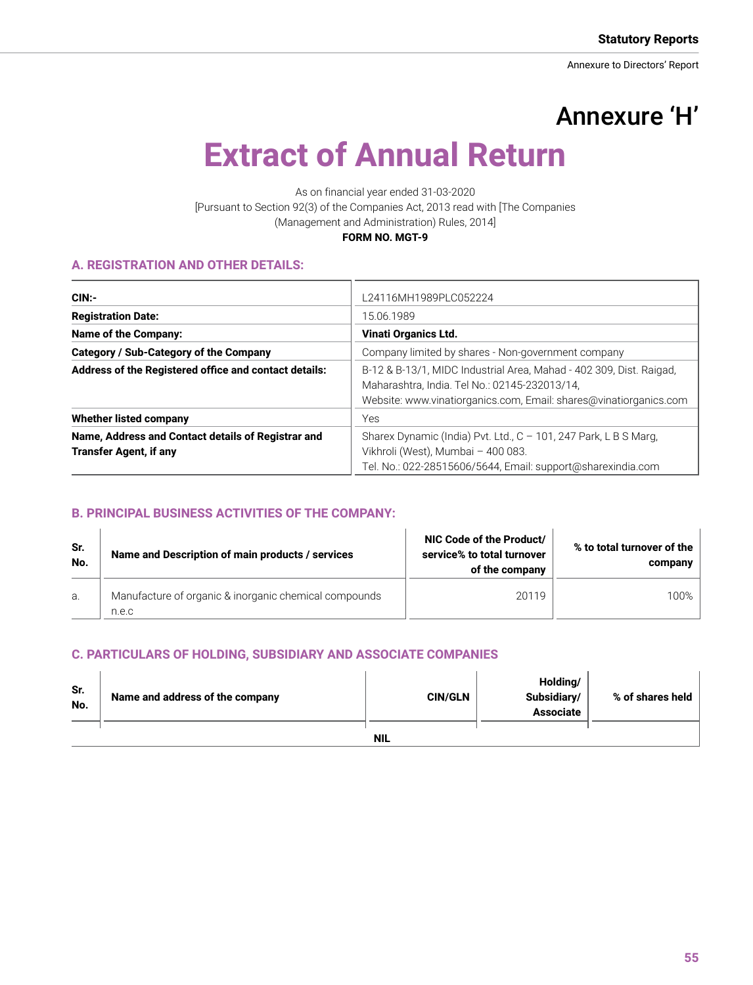# Annexure 'H'

# **Extract of Annual Return**

As on financial year ended 31-03-2020 [Pursuant to Section 92(3) of the Companies Act, 2013 read with [The Companies (Management and Administration) Rules, 2014] **FORM NO. MGT-9**

#### **A. REGISTRATION AND OTHER DETAILS:**

| CIN:                                                                                | L24116MH1989PLC052224                                                                                                                                                                     |
|-------------------------------------------------------------------------------------|-------------------------------------------------------------------------------------------------------------------------------------------------------------------------------------------|
| <b>Registration Date:</b>                                                           | 15.06.1989                                                                                                                                                                                |
| Name of the Company:                                                                | <b>Vinati Organics Ltd.</b>                                                                                                                                                               |
| Category / Sub-Category of the Company                                              | Company limited by shares - Non-government company                                                                                                                                        |
| Address of the Registered office and contact details:                               | B-12 & B-13/1, MIDC Industrial Area, Mahad - 402 309, Dist. Raigad,<br>Maharashtra, India. Tel No.: 02145-232013/14,<br>Website: www.vinatiorganics.com, Email: shares@vinatiorganics.com |
| <b>Whether listed company</b>                                                       | Yes                                                                                                                                                                                       |
| Name, Address and Contact details of Registrar and<br><b>Transfer Agent, if any</b> | Sharex Dynamic (India) Pvt. Ltd., C - 101, 247 Park, L B S Marg,<br>Vikhroli (West), Mumbai - 400 083.<br>Tel. No.: 022-28515606/5644, Email: support@sharexindia.com                     |

# **B. PRINCIPAL BUSINESS ACTIVITIES OF THE COMPANY:**

| Sr.<br>No. | Name and Description of main products / services               | NIC Code of the Product/<br>service% to total turnover<br>of the company | % to total turnover of the<br>company |
|------------|----------------------------------------------------------------|--------------------------------------------------------------------------|---------------------------------------|
| a.         | Manufacture of organic & inorganic chemical compounds<br>n.e.c | 20119                                                                    | 100%                                  |

# **C. PARTICULARS OF HOLDING, SUBSIDIARY AND ASSOCIATE COMPANIES**

| Sr.<br>No. | Name and address of the company | <b>CIN/GLN</b> | Holding/<br>Subsidiary/<br><b>Associate</b> | % of shares held |  |
|------------|---------------------------------|----------------|---------------------------------------------|------------------|--|
|            |                                 | <b>NIL</b>     |                                             |                  |  |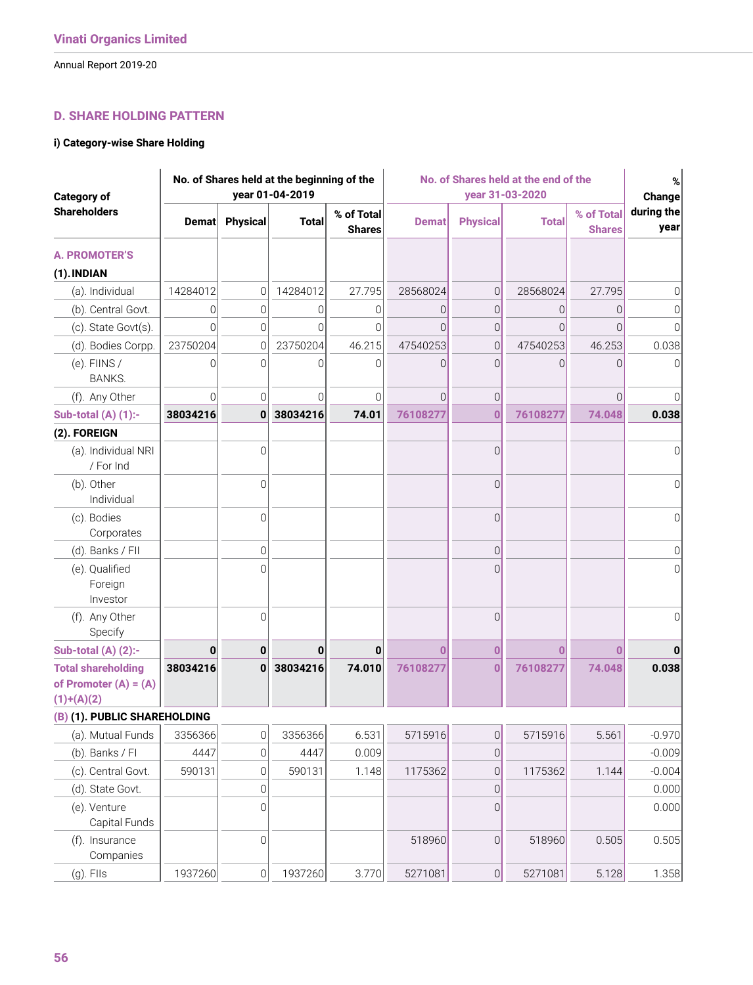# **D. SHARE HOLDING PATTERN**

#### **i) Category-wise Share Holding**

| <b>Category of</b>                                                   |               |                     | No. of Shares held at the beginning of the<br>year 01-04-2019 |                             |              | No. of Shares held at the end of the<br>year 31-03-2020 |              |                             |                              |
|----------------------------------------------------------------------|---------------|---------------------|---------------------------------------------------------------|-----------------------------|--------------|---------------------------------------------------------|--------------|-----------------------------|------------------------------|
| <b>Shareholders</b>                                                  | <b>Dematl</b> | <b>Physical</b>     | <b>Total</b>                                                  | % of Total<br><b>Shares</b> | <b>Demat</b> | <b>Physical</b>                                         | <b>Total</b> | % of Total<br><b>Shares</b> | Change<br>during the<br>year |
| <b>A. PROMOTER'S</b>                                                 |               |                     |                                                               |                             |              |                                                         |              |                             |                              |
| (1). INDIAN                                                          |               |                     |                                                               |                             |              |                                                         |              |                             |                              |
| (a). Individual                                                      | 14284012      | $\overline{0}$      | 14284012                                                      | 27.795                      | 28568024     | $\mathbf 0$                                             | 28568024     | 27.795                      | $\Omega$                     |
| (b). Central Govt.                                                   | 0             | 0                   | 0                                                             | 0                           | 0            | $\mathbf 0$                                             | 0            | 0                           | 0                            |
| (c). State Govt(s).                                                  | $\Omega$      | $\overline{0}$      | $\Omega$                                                      | $\Omega$                    | $\Omega$     | $\mathbf 0$                                             | $\Omega$     | $\Omega$                    | $\Omega$                     |
| (d). Bodies Corpp.                                                   | 23750204      | $\mathbf 0$         | 23750204                                                      | 46.215                      | 47540253     | $\mathbf 0$                                             | 47540253     | 46.253                      | 0.038                        |
| $(e)$ . FIINS /<br><b>BANKS.</b>                                     | 0             | $\Omega$            | $\Omega$                                                      | $\Omega$                    | $\Omega$     | $\Omega$                                                | $\Omega$     | 0                           | <sup>n</sup>                 |
| (f). Any Other                                                       | $\Omega$      | $\Omega$            | $\Omega$                                                      | $\Omega$                    | 0            | $\mathbf 0$                                             |              | $\Omega$                    | $\Omega$                     |
| <b>Sub-total (A) (1):-</b>                                           | 38034216      | 0                   | 38034216                                                      | 74.01                       | 76108277     | $\bf{0}$                                                | 76108277     | 74.048                      | 0.038                        |
| (2). FOREIGN                                                         |               |                     |                                                               |                             |              |                                                         |              |                             |                              |
| (a). Individual NRI<br>/ For Ind                                     |               | $\overline{0}$      |                                                               |                             |              | $\overline{0}$                                          |              |                             | $\Omega$                     |
| (b). Other<br>Individual                                             |               | $\Omega$            |                                                               |                             |              | $\overline{0}$                                          |              |                             | $\Omega$                     |
| (c). Bodies<br>Corporates                                            |               | $\Omega$            |                                                               |                             |              | $\Omega$                                                |              |                             | $\Omega$                     |
| (d). Banks / FII                                                     |               | $\overline{0}$      |                                                               |                             |              | $\mathbf 0$                                             |              |                             | 0                            |
| (e). Qualified<br>Foreign<br>Investor                                |               | $\Omega$            |                                                               |                             |              | $\Omega$                                                |              |                             | $\Omega$                     |
| (f). Any Other<br>Specify                                            |               | $\overline{0}$      |                                                               |                             |              | $\overline{0}$                                          |              |                             | $\Omega$                     |
| Sub-total $(A)$ $(2)$ :-                                             | 0             | 0                   | 0                                                             | $\bf{0}$                    | Ω            | $\bf{0}$                                                | 0            | 0                           |                              |
| <b>Total shareholding</b><br>of Promoter $(A) = (A)$<br>$(1)+(A)(2)$ | 38034216      | 0                   | 38034216                                                      | 74.010                      | 76108277     | $\bf{0}$                                                | 76108277     | 74.048                      | 0.038                        |
| (B) (1). PUBLIC SHAREHOLDING                                         |               |                     |                                                               |                             |              |                                                         |              |                             |                              |
| (a). Mutual Funds                                                    | 3356366       | $\mathbf 0$         | 3356366                                                       | 6.531                       | 5715916      | $\mathsf{O}$                                            | 5715916      | 5.561                       | $-0.970$                     |
| (b). Banks / FI                                                      | 4447          | $\mathsf{O}\xspace$ | 4447                                                          | 0.009                       |              | $\mathsf{O}\xspace$                                     |              |                             | $-0.009$                     |
| (c). Central Govt.                                                   | 590131        | 0                   | 590131                                                        | 1.148                       | 1175362      | $\mathbf 0$                                             | 1175362      | 1.144                       | $-0.004$                     |
| (d). State Govt.                                                     |               | $\mathbf 0$         |                                                               |                             |              | $\mathsf{O}\xspace$                                     |              |                             | 0.000                        |
| (e). Venture<br>Capital Funds                                        |               | $\overline{0}$      |                                                               |                             |              | $\mathbf 0$                                             |              |                             | 0.000                        |
| (f). Insurance<br>Companies                                          |               | $\overline{0}$      |                                                               |                             | 518960       | $\mathbf 0$                                             | 518960       | 0.505                       | 0.505                        |
| $(g)$ . Flls                                                         | 1937260       | $\mathbf 0$         | 1937260                                                       | 3.770                       | 5271081      | $\mathbf 0$                                             | 5271081      | 5.128                       | 1.358                        |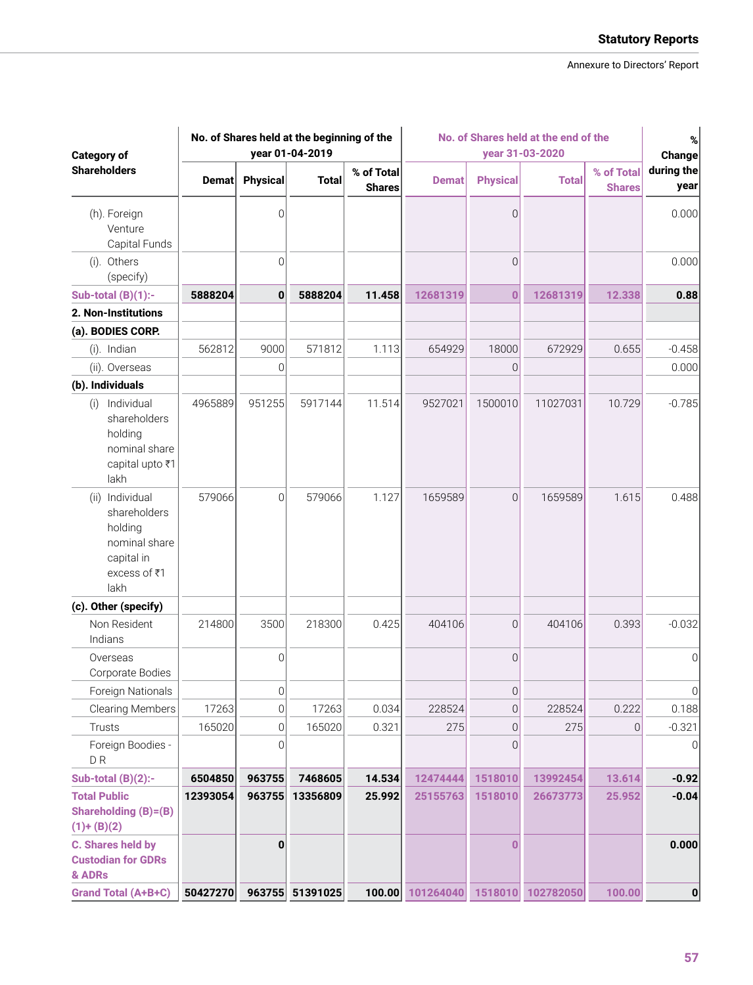| <b>Category of</b>                                                                                   | No. of Shares held at the beginning of the<br>year 01-04-2019 |                 |                 |                             | No. of Shares held at the end of the<br>year 31-03-2020 |                 |              |                             | %<br>Change        |
|------------------------------------------------------------------------------------------------------|---------------------------------------------------------------|-----------------|-----------------|-----------------------------|---------------------------------------------------------|-----------------|--------------|-----------------------------|--------------------|
| <b>Shareholders</b>                                                                                  | Demat                                                         | <b>Physical</b> | <b>Total</b>    | % of Total<br><b>Shares</b> | <b>Demat</b>                                            | <b>Physical</b> | <b>Total</b> | % of Total<br><b>Shares</b> | during the<br>year |
| (h). Foreign<br>Venture<br>Capital Funds                                                             |                                                               | 0               |                 |                             |                                                         | 0               |              |                             | 0.000              |
| (i). Others<br>(specify)                                                                             |                                                               | $\mathbf 0$     |                 |                             |                                                         | $\Omega$        |              |                             | 0.000              |
| Sub-total $(B)(1)$ :-                                                                                | 5888204                                                       | 0               | 5888204         | 11.458                      | 12681319                                                | $\bf{0}$        | 12681319     | 12.338                      | 0.88               |
| 2. Non-Institutions                                                                                  |                                                               |                 |                 |                             |                                                         |                 |              |                             |                    |
| (a). BODIES CORP.                                                                                    |                                                               |                 |                 |                             |                                                         |                 |              |                             |                    |
| (i). Indian                                                                                          | 562812                                                        | 9000            | 571812          | 1.113                       | 654929                                                  | 18000           | 672929       | 0.655                       | $-0.458$           |
| (ii). Overseas                                                                                       |                                                               | 0               |                 |                             |                                                         | $\Omega$        |              |                             | 0.000              |
| (b). Individuals                                                                                     |                                                               |                 |                 |                             |                                                         |                 |              |                             |                    |
| Individual<br>(i)<br>shareholders<br>holding<br>nominal share<br>capital upto ₹1<br>lakh             | 4965889                                                       | 951255          | 5917144         | 11.514                      | 9527021                                                 | 1500010         | 11027031     | 10.729                      | $-0.785$           |
| Individual<br>(ii)<br>shareholders<br>holding<br>nominal share<br>capital in<br>excess of ₹1<br>lakh | 579066                                                        | $\overline{0}$  | 579066          | 1.127                       | 1659589                                                 | $\Omega$        | 1659589      | 1.615                       | 0.488              |
| (c). Other (specify)                                                                                 |                                                               |                 |                 |                             |                                                         |                 |              |                             |                    |
| Non Resident<br>Indians                                                                              | 214800                                                        | 3500            | 218300          | 0.425                       | 404106                                                  | $\overline{0}$  | 404106       | 0.393                       | $-0.032$           |
| Overseas<br>Corporate Bodies                                                                         |                                                               | $\mathbf 0$     |                 |                             |                                                         | $\Omega$        |              |                             | $\Omega$           |
| Foreign Nationals                                                                                    |                                                               | 0               |                 |                             |                                                         | $\Omega$        |              |                             | 0                  |
| <b>Clearing Members</b>                                                                              | 17263                                                         | $\mathbf 0$     | 17263           | 0.034                       | 228524                                                  | $\theta$        | 228524       | 0.222                       | 0.188              |
| Trusts                                                                                               | 165020                                                        | 0               | 165020          | 0.321                       | 275                                                     | 0               | 275          | $\overline{0}$              | $-0.321$           |
| Foreign Boodies -<br>D <sub>R</sub>                                                                  |                                                               | 0               |                 |                             |                                                         | $\Omega$        |              |                             | 0                  |
| Sub-total $(B)(2)$ :-                                                                                | 6504850                                                       | 963755          | 7468605         | 14.534                      | 12474444                                                | 1518010         | 13992454     | 13.614                      | $-0.92$            |
| <b>Total Public</b><br><b>Shareholding (B)=(B)</b><br>$(1)+(B)(2)$                                   | 12393054                                                      | 963755          | 13356809        | 25.992                      | 25155763                                                | 1518010         | 26673773     | 25.952                      | $-0.04$            |
| <b>C. Shares held by</b><br><b>Custodian for GDRs</b><br>& ADRs                                      |                                                               | $\bf{0}$        |                 |                             |                                                         | O               |              |                             | 0.000              |
| <b>Grand Total (A+B+C)</b>                                                                           | 50427270                                                      |                 | 963755 51391025 | 100.00                      | 101264040 1518010 102782050                             |                 |              | 100.00                      | $\mathbf 0$        |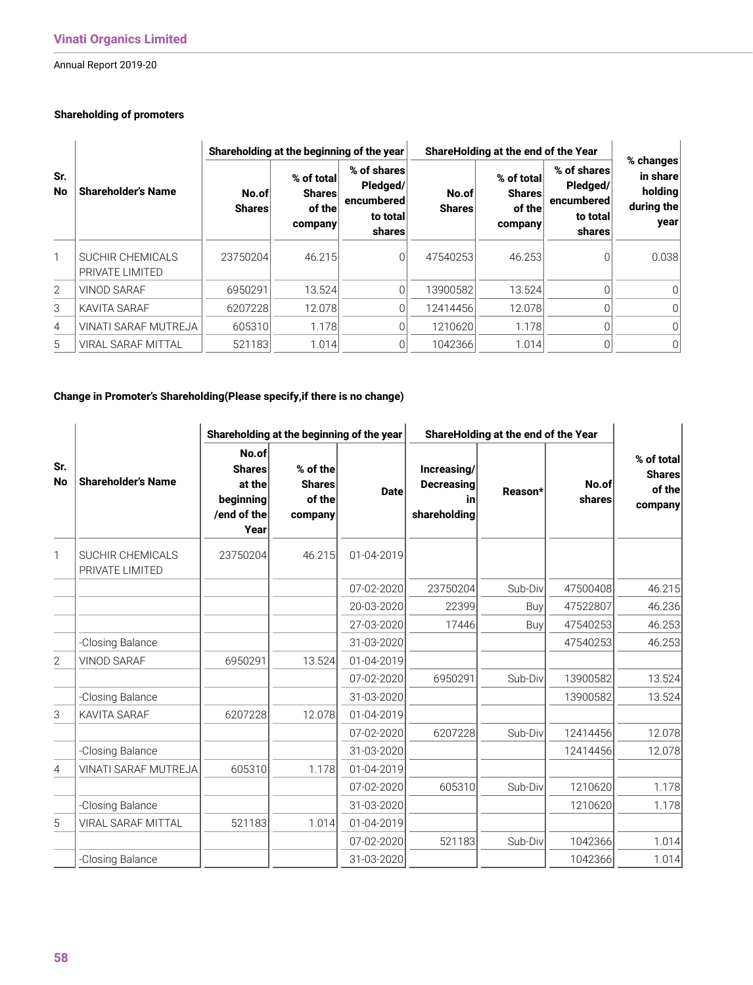# **Shareholding of promoters**

|                  |                                     |                        | Shareholding at the beginning of the year        |                                                             | ShareHolding at the end of the Year | % changes                                        |                                                             |                                           |
|------------------|-------------------------------------|------------------------|--------------------------------------------------|-------------------------------------------------------------|-------------------------------------|--------------------------------------------------|-------------------------------------------------------------|-------------------------------------------|
| Sr.<br><b>No</b> | <b>Shareholder's Name</b>           | No.of<br><b>Shares</b> | % of total<br><b>Shares</b><br>of the<br>company | % of shares<br>Pledged/<br>encumbered<br>to total<br>shares | No.of<br><b>Shares</b>              | % of total<br><b>Shares</b><br>of the<br>company | % of shares<br>Pledged/<br>encumbered<br>to total<br>shares | in share<br>holding<br>during the<br>year |
| $\mathbf{1}$     | SUCHIR CHEMICALS<br>PRIVATE LIMITED | 23750204               | 46.215                                           | 0                                                           | 47540253                            | 46.253                                           | 0                                                           | 0.038                                     |
| $\overline{2}$   | <b>VINOD SARAF</b>                  | 6950291                | 13.524                                           | $\Omega$                                                    | 13900582                            | 13.524                                           | 0                                                           | 0                                         |
| 3                | <b>KAVITA SARAF</b>                 | 6207228                | 12.078                                           | 0                                                           | 12414456                            | 12.078                                           |                                                             | ΩI                                        |
| 4                | VINATI SARAF MUTREJA                | 605310                 | 1.178                                            |                                                             | 1210620                             | 1.178                                            |                                                             | O.                                        |
| 5                | <b>VIRAL SARAF MITTAL</b>           | 521183                 | 1.014                                            |                                                             | 1042366                             | 1.014                                            |                                                             | 0                                         |

# **Change in Promoter's Shareholding(Please specify,if there is no change)**

|                  |                                     | Shareholding at the beginning of the year                            |                                                |             | ShareHolding at the end of the Year                    |         |                 |                                                  |
|------------------|-------------------------------------|----------------------------------------------------------------------|------------------------------------------------|-------------|--------------------------------------------------------|---------|-----------------|--------------------------------------------------|
| Sr.<br><b>No</b> | <b>Shareholder's Name</b>           | No.of<br><b>Shares</b><br>at the<br>beginning<br>/end of the<br>Year | % of the<br><b>Shares</b><br>of the<br>company | <b>Date</b> | Increasing/<br><b>Decreasing</b><br>in<br>shareholding | Reason* | No.of<br>shares | % of total<br><b>Shares</b><br>of the<br>company |
| 1                | SUCHIR CHEMICALS<br>PRIVATE LIMITED | 23750204                                                             | 46.215                                         | 01-04-2019  |                                                        |         |                 |                                                  |
|                  |                                     |                                                                      |                                                | 07-02-2020  | 23750204                                               | Sub-Div | 47500408        | 46.215                                           |
|                  |                                     |                                                                      |                                                | 20-03-2020  | 22399                                                  | Buy     | 47522807        | 46.236                                           |
|                  |                                     |                                                                      |                                                | 27-03-2020  | 17446                                                  | Buy     | 47540253        | 46.253                                           |
|                  | -Closing Balance                    |                                                                      |                                                | 31-03-2020  |                                                        |         | 47540253        | 46.253                                           |
| $\overline{2}$   | VINOD SARAF                         | 6950291                                                              | 13.524                                         | 01-04-2019  |                                                        |         |                 |                                                  |
|                  |                                     |                                                                      |                                                | 07-02-2020  | 6950291                                                | Sub-Div | 13900582        | 13.524                                           |
|                  | -Closing Balance                    |                                                                      |                                                | 31-03-2020  |                                                        |         | 13900582        | 13.524                                           |
| 3                | <b>KAVITA SARAF</b>                 | 6207228                                                              | 12.078                                         | 01-04-2019  |                                                        |         |                 |                                                  |
|                  |                                     |                                                                      |                                                | 07-02-2020  | 6207228                                                | Sub-Div | 12414456        | 12.078                                           |
|                  | -Closing Balance                    |                                                                      |                                                | 31-03-2020  |                                                        |         | 12414456        | 12.078                                           |
| 4                | VINATI SARAF MUTREJA                | 605310                                                               | 1.178                                          | 01-04-2019  |                                                        |         |                 |                                                  |
|                  |                                     |                                                                      |                                                | 07-02-2020  | 605310                                                 | Sub-Div | 1210620         | 1.178                                            |
|                  | -Closing Balance                    |                                                                      |                                                | 31-03-2020  |                                                        |         | 1210620         | 1.178                                            |
| 5                | VIRAL SARAF MITTAL                  | 521183                                                               | 1.014                                          | 01-04-2019  |                                                        |         |                 |                                                  |
|                  |                                     |                                                                      |                                                | 07-02-2020  | 521183                                                 | Sub-Div | 1042366         | 1.014                                            |
|                  | -Closing Balance                    |                                                                      |                                                | 31-03-2020  |                                                        |         | 1042366         | 1.014                                            |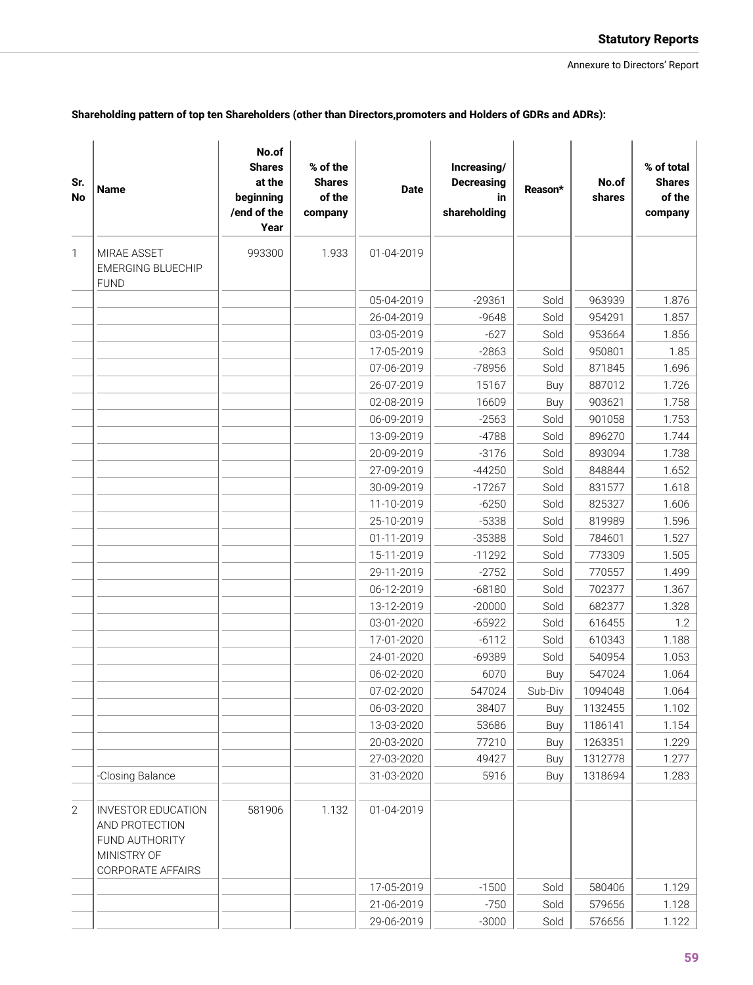| Shareholding pattern of top ten Shareholders (other than Directors,promoters and Holders of GDRs and ADRs): |  |  |
|-------------------------------------------------------------------------------------------------------------|--|--|
|-------------------------------------------------------------------------------------------------------------|--|--|

| Sr.<br><b>No</b> | <b>Name</b>                                                                                       | No.of<br><b>Shares</b><br>at the<br>beginning<br>/end of the<br>Year | % of the<br><b>Shares</b><br>of the<br>company | <b>Date</b>              | Increasing/<br><b>Decreasing</b><br>in<br>shareholding | Reason*      | No.of<br>shares  | % of total<br><b>Shares</b><br>of the<br>company |
|------------------|---------------------------------------------------------------------------------------------------|----------------------------------------------------------------------|------------------------------------------------|--------------------------|--------------------------------------------------------|--------------|------------------|--------------------------------------------------|
| $\mathbf{1}$     | MIRAE ASSET<br><b>EMERGING BLUECHIP</b>                                                           | 993300                                                               | 1.933                                          | 01-04-2019               |                                                        |              |                  |                                                  |
|                  | <b>FUND</b>                                                                                       |                                                                      |                                                | 05-04-2019               |                                                        |              |                  |                                                  |
|                  |                                                                                                   |                                                                      |                                                |                          | $-29361$                                               | Sold         | 963939<br>954291 | 1.876                                            |
|                  |                                                                                                   |                                                                      |                                                | 26-04-2019<br>03-05-2019 | $-9648$<br>$-627$                                      | Sold<br>Sold | 953664           | 1.857<br>1.856                                   |
|                  |                                                                                                   |                                                                      |                                                |                          | $-2863$                                                | Sold         | 950801           | 1.85                                             |
|                  |                                                                                                   |                                                                      |                                                | 17-05-2019<br>07-06-2019 | -78956                                                 | Sold         | 871845           | 1.696                                            |
|                  |                                                                                                   |                                                                      |                                                | 26-07-2019               | 15167                                                  | Buy          | 887012           | 1.726                                            |
|                  |                                                                                                   |                                                                      |                                                | 02-08-2019               | 16609                                                  | Buy          | 903621           | 1.758                                            |
|                  |                                                                                                   |                                                                      |                                                | 06-09-2019               | $-2563$                                                | Sold         | 901058           | 1.753                                            |
|                  |                                                                                                   |                                                                      |                                                | 13-09-2019               | $-4788$                                                | Sold         | 896270           | 1.744                                            |
|                  |                                                                                                   |                                                                      |                                                | 20-09-2019               | $-3176$                                                | Sold         | 893094           | 1.738                                            |
|                  |                                                                                                   |                                                                      |                                                | 27-09-2019               | $-44250$                                               | Sold         | 848844           | 1.652                                            |
|                  |                                                                                                   |                                                                      |                                                | 30-09-2019               | $-17267$                                               | Sold         | 831577           | 1.618                                            |
|                  |                                                                                                   |                                                                      |                                                | 11-10-2019               | $-6250$                                                | Sold         | 825327           | 1.606                                            |
|                  |                                                                                                   |                                                                      |                                                | 25-10-2019               | $-5338$                                                | Sold         | 819989           | 1.596                                            |
|                  |                                                                                                   |                                                                      |                                                | 01-11-2019               | $-35388$                                               | Sold         | 784601           | 1.527                                            |
|                  |                                                                                                   |                                                                      |                                                | 15-11-2019               | $-11292$                                               | Sold         | 773309           | 1.505                                            |
|                  |                                                                                                   |                                                                      |                                                | 29-11-2019               | $-2752$                                                | Sold         | 770557           | 1.499                                            |
|                  |                                                                                                   |                                                                      |                                                | 06-12-2019               | $-68180$                                               | Sold         | 702377           | 1.367                                            |
|                  |                                                                                                   |                                                                      |                                                | 13-12-2019               | $-20000$                                               | Sold         | 682377           | 1.328                                            |
|                  |                                                                                                   |                                                                      |                                                | 03-01-2020               | $-65922$                                               | Sold         | 616455           | 1.2                                              |
|                  |                                                                                                   |                                                                      |                                                | 17-01-2020               | $-6112$                                                | Sold         | 610343           | 1.188                                            |
|                  |                                                                                                   |                                                                      |                                                | 24-01-2020               | $-69389$                                               | Sold         | 540954           | 1.053                                            |
|                  |                                                                                                   |                                                                      |                                                | 06-02-2020               | 6070                                                   | Buy          | 547024           | 1.064                                            |
|                  |                                                                                                   |                                                                      |                                                | 07-02-2020               | 547024                                                 | Sub-Div      | 1094048          | 1.064                                            |
|                  |                                                                                                   |                                                                      |                                                | 06-03-2020               | 38407                                                  | Buy          | 1132455          | 1.102                                            |
|                  |                                                                                                   |                                                                      |                                                | 13-03-2020               | 53686                                                  | Buy          | 1186141          | 1.154                                            |
|                  |                                                                                                   |                                                                      |                                                | 20-03-2020               | 77210                                                  | Buy          | 1263351          | 1.229                                            |
|                  |                                                                                                   |                                                                      |                                                | 27-03-2020               | 49427                                                  | Buy          | 1312778          | 1.277                                            |
|                  | -Closing Balance                                                                                  |                                                                      |                                                | 31-03-2020               | 5916                                                   | Buy          | 1318694          | 1.283                                            |
| $\overline{2}$   | <b>INVESTOR EDUCATION</b><br>AND PROTECTION<br>FUND AUTHORITY<br>MINISTRY OF<br>CORPORATE AFFAIRS | 581906                                                               | 1.132                                          | 01-04-2019               |                                                        |              |                  |                                                  |
|                  |                                                                                                   |                                                                      |                                                | 17-05-2019               | $-1500$                                                | Sold         | 580406           | 1.129                                            |
|                  |                                                                                                   |                                                                      |                                                | 21-06-2019               | $-750$                                                 | Sold         | 579656           | 1.128                                            |
|                  |                                                                                                   |                                                                      |                                                | 29-06-2019               | $-3000$                                                | Sold         | 576656           | 1.122                                            |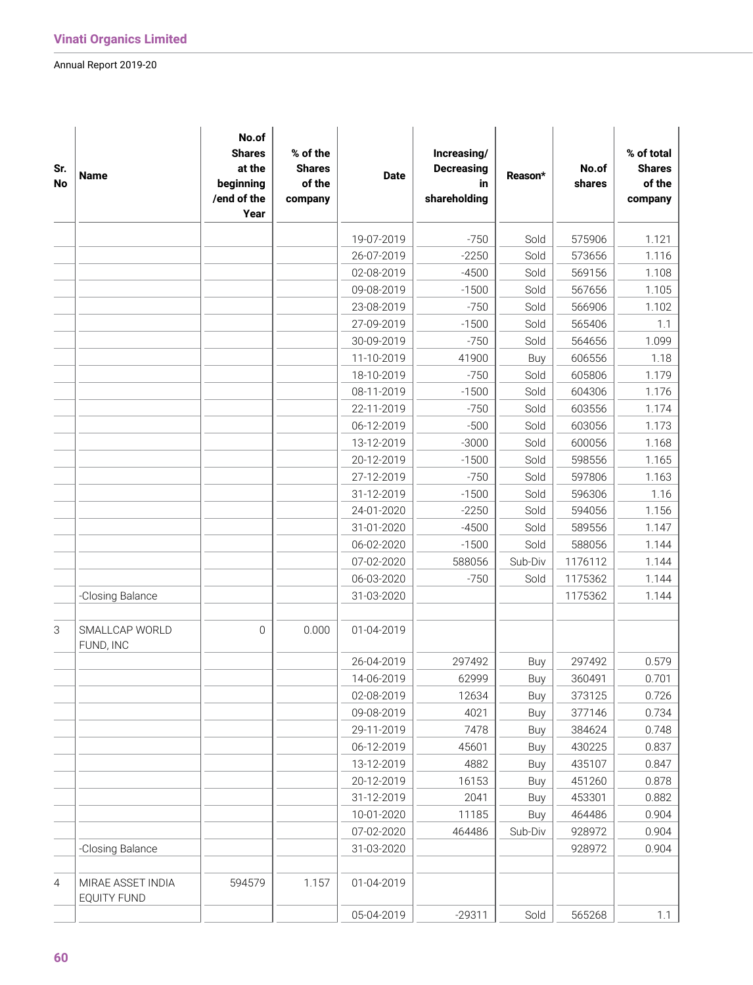| Sr.<br>No      | <b>Name</b>                             | No.of<br><b>Shares</b><br>at the<br>beginning<br>/end of the<br>Year | % of the<br><b>Shares</b><br>of the<br>company | <b>Date</b> | Increasing/<br><b>Decreasing</b><br>in<br>shareholding | Reason* | No.of<br>shares | % of total<br><b>Shares</b><br>of the<br>company |
|----------------|-----------------------------------------|----------------------------------------------------------------------|------------------------------------------------|-------------|--------------------------------------------------------|---------|-----------------|--------------------------------------------------|
|                |                                         |                                                                      |                                                | 19-07-2019  | $-750$                                                 | Sold    | 575906          | 1.121                                            |
|                |                                         |                                                                      |                                                | 26-07-2019  | $-2250$                                                | Sold    | 573656          | 1.116                                            |
|                |                                         |                                                                      |                                                | 02-08-2019  | $-4500$                                                | Sold    | 569156          | 1.108                                            |
|                |                                         |                                                                      |                                                | 09-08-2019  | $-1500$                                                | Sold    | 567656          | 1.105                                            |
|                |                                         |                                                                      |                                                | 23-08-2019  | $-750$                                                 | Sold    | 566906          | 1.102                                            |
|                |                                         |                                                                      |                                                | 27-09-2019  | $-1500$                                                | Sold    | 565406          | 1.1                                              |
|                |                                         |                                                                      |                                                | 30-09-2019  | $-750$                                                 | Sold    | 564656          | 1.099                                            |
|                |                                         |                                                                      |                                                | 11-10-2019  | 41900                                                  | Buy     | 606556          | 1.18                                             |
|                |                                         |                                                                      |                                                | 18-10-2019  | $-750$                                                 | Sold    | 605806          | 1.179                                            |
|                |                                         |                                                                      |                                                | 08-11-2019  | $-1500$                                                | Sold    | 604306          | 1.176                                            |
|                |                                         |                                                                      |                                                | 22-11-2019  | $-750$                                                 | Sold    | 603556          | 1.174                                            |
|                |                                         |                                                                      |                                                | 06-12-2019  | $-500$                                                 | Sold    | 603056          | 1.173                                            |
|                |                                         |                                                                      |                                                | 13-12-2019  | $-3000$                                                | Sold    | 600056          | 1.168                                            |
|                |                                         |                                                                      |                                                | 20-12-2019  | $-1500$                                                | Sold    | 598556          | 1.165                                            |
|                |                                         |                                                                      |                                                | 27-12-2019  | $-750$                                                 | Sold    | 597806          | 1.163                                            |
|                |                                         |                                                                      |                                                | 31-12-2019  | $-1500$                                                | Sold    | 596306          | 1.16                                             |
|                |                                         |                                                                      |                                                | 24-01-2020  | $-2250$                                                | Sold    | 594056          | 1.156                                            |
|                |                                         |                                                                      |                                                | 31-01-2020  | $-4500$                                                | Sold    | 589556          | 1.147                                            |
|                |                                         |                                                                      |                                                | 06-02-2020  | $-1500$                                                | Sold    | 588056          | 1.144                                            |
|                |                                         |                                                                      |                                                | 07-02-2020  | 588056                                                 | Sub-Div | 1176112         | 1.144                                            |
|                |                                         |                                                                      |                                                | 06-03-2020  | $-750$                                                 | Sold    | 1175362         | 1.144                                            |
|                | -Closing Balance                        |                                                                      |                                                | 31-03-2020  |                                                        |         | 1175362         | 1.144                                            |
| $\mathsf 3$    | SMALLCAP WORLD<br>FUND, INC             | $\mathbf 0$                                                          | 0.000                                          | 01-04-2019  |                                                        |         |                 |                                                  |
|                |                                         |                                                                      |                                                | 26-04-2019  | 297492                                                 | Buy     | 297492          | 0.579                                            |
|                |                                         |                                                                      |                                                | 14-06-2019  | 62999                                                  | Buy     | 360491          | 0.701                                            |
|                |                                         |                                                                      |                                                | 02-08-2019  | 12634                                                  | Buy     | 373125          | 0.726                                            |
|                |                                         |                                                                      |                                                | 09-08-2019  | 4021                                                   | Buy     | 377146          | 0.734                                            |
|                |                                         |                                                                      |                                                | 29-11-2019  | 7478                                                   | Buy     | 384624          | 0.748                                            |
|                |                                         |                                                                      |                                                | 06-12-2019  | 45601                                                  | Buy     | 430225          | 0.837                                            |
|                |                                         |                                                                      |                                                | 13-12-2019  | 4882                                                   | Buy     | 435107          | 0.847                                            |
|                |                                         |                                                                      |                                                | 20-12-2019  | 16153                                                  | Buy     | 451260          | 0.878                                            |
|                |                                         |                                                                      |                                                | 31-12-2019  | 2041                                                   | Buy     | 453301          | 0.882                                            |
|                |                                         |                                                                      |                                                | 10-01-2020  | 11185                                                  | Buy     | 464486          | 0.904                                            |
|                |                                         |                                                                      |                                                | 07-02-2020  | 464486                                                 | Sub-Div | 928972          | 0.904                                            |
|                | -Closing Balance                        |                                                                      |                                                | 31-03-2020  |                                                        |         | 928972          | 0.904                                            |
| $\overline{4}$ | MIRAE ASSET INDIA<br><b>EQUITY FUND</b> | 594579                                                               | 1.157                                          | 01-04-2019  |                                                        |         |                 |                                                  |
|                |                                         |                                                                      |                                                | 05-04-2019  | $-29311$                                               | Sold    | 565268          | 1.1                                              |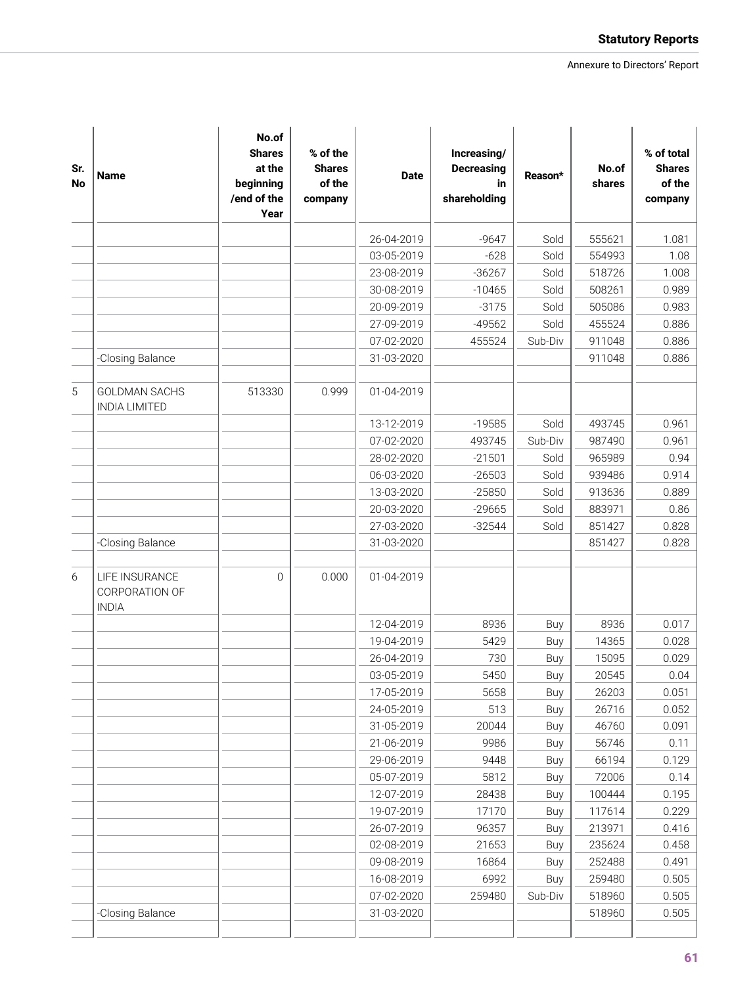| Sr.<br>No | <b>Name</b>                                      | No.of<br><b>Shares</b><br>at the<br>beginning<br>/end of the<br>Year | % of the<br><b>Shares</b><br>of the<br>company | <b>Date</b> | Increasing/<br><b>Decreasing</b><br>in<br>shareholding | Reason* | No.of<br>shares | % of total<br><b>Shares</b><br>of the<br>company |
|-----------|--------------------------------------------------|----------------------------------------------------------------------|------------------------------------------------|-------------|--------------------------------------------------------|---------|-----------------|--------------------------------------------------|
|           |                                                  |                                                                      |                                                | 26-04-2019  | $-9647$                                                | Sold    | 555621          | 1.081                                            |
|           |                                                  |                                                                      |                                                | 03-05-2019  | $-628$                                                 | Sold    | 554993          | 1.08                                             |
|           |                                                  |                                                                      |                                                | 23-08-2019  | $-36267$                                               | Sold    | 518726          | 1.008                                            |
|           |                                                  |                                                                      |                                                | 30-08-2019  | $-10465$                                               | Sold    | 508261          | 0.989                                            |
|           |                                                  |                                                                      |                                                | 20-09-2019  | $-3175$                                                | Sold    | 505086          | 0.983                                            |
|           |                                                  |                                                                      |                                                | 27-09-2019  | $-49562$                                               | Sold    | 455524          | 0.886                                            |
|           |                                                  |                                                                      |                                                | 07-02-2020  | 455524                                                 | Sub-Div | 911048          | 0.886                                            |
|           | -Closing Balance                                 |                                                                      |                                                | 31-03-2020  |                                                        |         | 911048          | 0.886                                            |
| 5         | <b>GOLDMAN SACHS</b><br><b>INDIA LIMITED</b>     | 513330                                                               | 0.999                                          | 01-04-2019  |                                                        |         |                 |                                                  |
|           |                                                  |                                                                      |                                                | 13-12-2019  | $-19585$                                               | Sold    | 493745          | 0.961                                            |
|           |                                                  |                                                                      |                                                | 07-02-2020  | 493745                                                 | Sub-Div | 987490          | 0.961                                            |
|           |                                                  |                                                                      |                                                | 28-02-2020  | $-21501$                                               | Sold    | 965989          | 0.94                                             |
|           |                                                  |                                                                      |                                                | 06-03-2020  | $-26503$                                               | Sold    | 939486          | 0.914                                            |
|           |                                                  |                                                                      |                                                | 13-03-2020  | $-25850$                                               | Sold    | 913636          | 0.889                                            |
|           |                                                  |                                                                      |                                                | 20-03-2020  | $-29665$                                               | Sold    | 883971          | 0.86                                             |
|           |                                                  |                                                                      |                                                | 27-03-2020  | $-32544$                                               | Sold    | 851427          | 0.828                                            |
|           | -Closing Balance                                 |                                                                      |                                                | 31-03-2020  |                                                        |         | 851427          | 0.828                                            |
| 6         | LIFE INSURANCE<br>CORPORATION OF<br><b>INDIA</b> | 0                                                                    | 0.000                                          | 01-04-2019  |                                                        |         |                 |                                                  |
|           |                                                  |                                                                      |                                                | 12-04-2019  | 8936                                                   | Buy     | 8936            | 0.017                                            |
|           |                                                  |                                                                      |                                                | 19-04-2019  | 5429                                                   | Buy     | 14365           | 0.028                                            |
|           |                                                  |                                                                      |                                                | 26-04-2019  | 730                                                    | Buy     | 15095           | 0.029                                            |
|           |                                                  |                                                                      |                                                | 03-05-2019  | 5450                                                   | Buy     | 20545           | 0.04                                             |
|           |                                                  |                                                                      |                                                | 17-05-2019  | 5658                                                   | Buy     | 26203           | 0.051                                            |
|           |                                                  |                                                                      |                                                | 24-05-2019  | 513                                                    | Buy     | 26716           | 0.052                                            |
|           |                                                  |                                                                      |                                                | 31-05-2019  | 20044                                                  | Buy     | 46760           | 0.091                                            |
|           |                                                  |                                                                      |                                                | 21-06-2019  | 9986                                                   | Buy     | 56746           | 0.11                                             |
|           |                                                  |                                                                      |                                                | 29-06-2019  | 9448                                                   | Buy     | 66194           | 0.129                                            |
|           |                                                  |                                                                      |                                                | 05-07-2019  | 5812                                                   | Buy     | 72006           | 0.14                                             |
|           |                                                  |                                                                      |                                                | 12-07-2019  | 28438                                                  | Buy     | 100444          | 0.195                                            |
|           |                                                  |                                                                      |                                                | 19-07-2019  | 17170                                                  | Buy     | 117614          | 0.229                                            |
|           |                                                  |                                                                      |                                                | 26-07-2019  | 96357                                                  | Buy     | 213971          | 0.416                                            |
|           |                                                  |                                                                      |                                                | 02-08-2019  | 21653                                                  | Buy     | 235624          | 0.458                                            |
|           |                                                  |                                                                      |                                                | 09-08-2019  | 16864                                                  | Buy     | 252488          | 0.491                                            |
|           |                                                  |                                                                      |                                                | 16-08-2019  | 6992                                                   | Buy     | 259480          | 0.505                                            |
|           |                                                  |                                                                      |                                                | 07-02-2020  | 259480                                                 | Sub-Div | 518960          | 0.505                                            |
|           | -Closing Balance                                 |                                                                      |                                                | 31-03-2020  |                                                        |         | 518960          | 0.505                                            |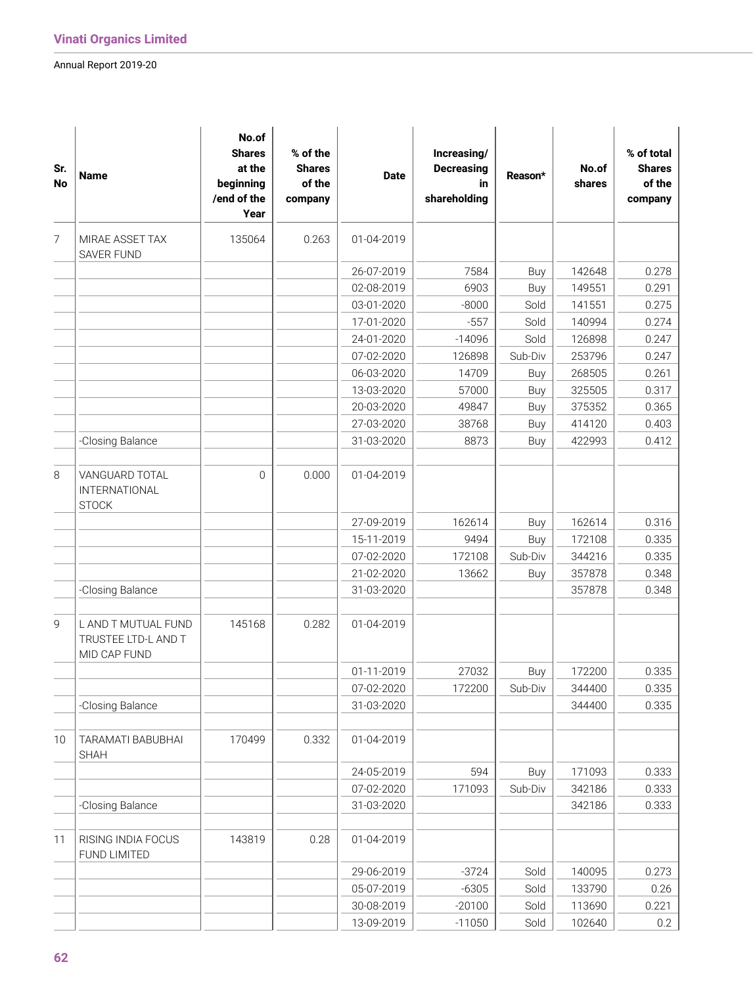| Sr.<br><b>No</b> | <b>Name</b>                                                | No.of<br><b>Shares</b><br>at the<br>beginning<br>/end of the<br>Year | % of the<br><b>Shares</b><br>of the<br>company | <b>Date</b> | Increasing/<br><b>Decreasing</b><br>in<br>shareholding | Reason* | No.of<br>shares | % of total<br><b>Shares</b><br>of the<br>company |
|------------------|------------------------------------------------------------|----------------------------------------------------------------------|------------------------------------------------|-------------|--------------------------------------------------------|---------|-----------------|--------------------------------------------------|
| $\overline{7}$   | MIRAE ASSET TAX<br><b>SAVER FUND</b>                       | 135064                                                               | 0.263                                          | 01-04-2019  |                                                        |         |                 |                                                  |
|                  |                                                            |                                                                      |                                                | 26-07-2019  | 7584                                                   | Buy     | 142648          | 0.278                                            |
|                  |                                                            |                                                                      |                                                | 02-08-2019  | 6903                                                   | Buy     | 149551          | 0.291                                            |
|                  |                                                            |                                                                      |                                                | 03-01-2020  | $-8000$                                                | Sold    | 141551          | 0.275                                            |
|                  |                                                            |                                                                      |                                                | 17-01-2020  | $-557$                                                 | Sold    | 140994          | 0.274                                            |
|                  |                                                            |                                                                      |                                                | 24-01-2020  | $-14096$                                               | Sold    | 126898          | 0.247                                            |
|                  |                                                            |                                                                      |                                                | 07-02-2020  | 126898                                                 | Sub-Div | 253796          | 0.247                                            |
|                  |                                                            |                                                                      |                                                | 06-03-2020  | 14709                                                  | Buy     | 268505          | 0.261                                            |
|                  |                                                            |                                                                      |                                                | 13-03-2020  | 57000                                                  | Buy     | 325505          | 0.317                                            |
|                  |                                                            |                                                                      |                                                | 20-03-2020  | 49847                                                  | Buy     | 375352          | 0.365                                            |
|                  |                                                            |                                                                      |                                                | 27-03-2020  | 38768                                                  | Buy     | 414120          | 0.403                                            |
|                  | -Closing Balance                                           |                                                                      |                                                | 31-03-2020  | 8873                                                   | Buy     | 422993          | 0.412                                            |
| 8                | VANGUARD TOTAL<br>INTERNATIONAL<br><b>STOCK</b>            | $\Omega$                                                             | 0.000                                          | 01-04-2019  |                                                        |         |                 |                                                  |
|                  |                                                            |                                                                      |                                                | 27-09-2019  | 162614                                                 | Buy     | 162614          | 0.316                                            |
|                  |                                                            |                                                                      |                                                | 15-11-2019  | 9494                                                   | Buy     | 172108          | 0.335                                            |
|                  |                                                            |                                                                      |                                                | 07-02-2020  | 172108                                                 | Sub-Div | 344216          | 0.335                                            |
|                  |                                                            |                                                                      |                                                | 21-02-2020  | 13662                                                  | Buy     | 357878          | 0.348                                            |
|                  | -Closing Balance                                           |                                                                      |                                                | 31-03-2020  |                                                        |         | 357878          | 0.348                                            |
|                  |                                                            |                                                                      |                                                |             |                                                        |         |                 |                                                  |
| 9                | L AND T MUTUAL FUND<br>TRUSTEE LTD-L AND T<br>MID CAP FUND | 145168                                                               | 0.282                                          | 01-04-2019  |                                                        |         |                 |                                                  |
|                  |                                                            |                                                                      |                                                | 01-11-2019  | 27032                                                  | Buy     | 172200          | 0.335                                            |
|                  |                                                            |                                                                      |                                                | 07-02-2020  | 172200                                                 | Sub-Div | 344400          | 0.335                                            |
|                  | -Closing Balance                                           |                                                                      |                                                | 31-03-2020  |                                                        |         | 344400          | 0.335                                            |
| 10               | TARAMATI BABUBHAI<br><b>SHAH</b>                           | 170499                                                               | 0.332                                          | 01-04-2019  |                                                        |         |                 |                                                  |
|                  |                                                            |                                                                      |                                                | 24-05-2019  | 594                                                    | Buy     | 171093          | 0.333                                            |
|                  |                                                            |                                                                      |                                                | 07-02-2020  | 171093                                                 | Sub-Div | 342186          | 0.333                                            |
|                  | -Closing Balance                                           |                                                                      |                                                | 31-03-2020  |                                                        |         | 342186          | 0.333                                            |
|                  |                                                            |                                                                      |                                                |             |                                                        |         |                 |                                                  |
| 11               | RISING INDIA FOCUS<br>FUND LIMITED                         | 143819                                                               | 0.28                                           | 01-04-2019  |                                                        |         |                 |                                                  |
|                  |                                                            |                                                                      |                                                | 29-06-2019  | $-3724$                                                | Sold    | 140095          | 0.273                                            |
|                  |                                                            |                                                                      |                                                | 05-07-2019  | $-6305$                                                | Sold    | 133790          | 0.26                                             |
|                  |                                                            |                                                                      |                                                | 30-08-2019  | $-20100$                                               | Sold    | 113690          | 0.221                                            |
|                  |                                                            |                                                                      |                                                | 13-09-2019  | $-11050$                                               | Sold    | 102640          | 0.2                                              |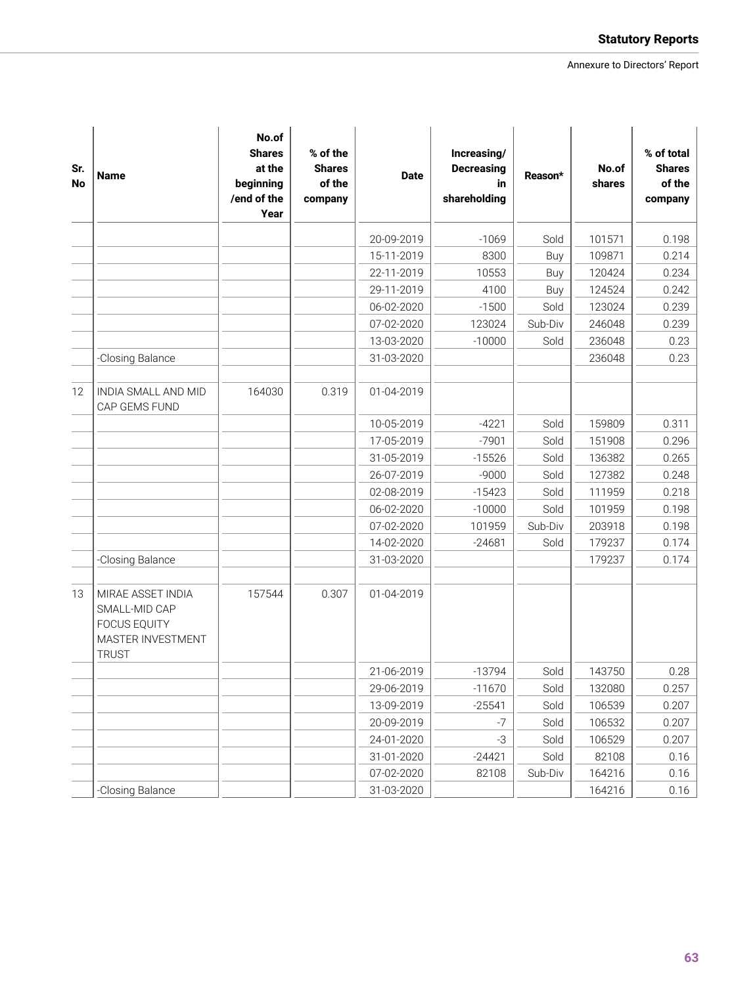| Sr.<br>No | <b>Name</b>                                                                                    | No.of<br><b>Shares</b><br>at the<br>beginning<br>/end of the<br>Year | % of the<br><b>Shares</b><br>of the<br>company | <b>Date</b> | Increasing/<br><b>Decreasing</b><br>in<br>shareholding | Reason* | No.of<br>shares | % of total<br><b>Shares</b><br>of the<br>company |
|-----------|------------------------------------------------------------------------------------------------|----------------------------------------------------------------------|------------------------------------------------|-------------|--------------------------------------------------------|---------|-----------------|--------------------------------------------------|
|           |                                                                                                |                                                                      |                                                | 20-09-2019  | $-1069$                                                | Sold    | 101571          | 0.198                                            |
|           |                                                                                                |                                                                      |                                                | 15-11-2019  | 8300                                                   | Buy     | 109871          | 0.214                                            |
|           |                                                                                                |                                                                      |                                                | 22-11-2019  | 10553                                                  | Buy     | 120424          | 0.234                                            |
|           |                                                                                                |                                                                      |                                                | 29-11-2019  | 4100                                                   | Buy     | 124524          | 0.242                                            |
|           |                                                                                                |                                                                      |                                                | 06-02-2020  | $-1500$                                                | Sold    | 123024          | 0.239                                            |
|           |                                                                                                |                                                                      |                                                | 07-02-2020  | 123024                                                 | Sub-Div | 246048          | 0.239                                            |
|           |                                                                                                |                                                                      |                                                | 13-03-2020  | $-10000$                                               | Sold    | 236048          | 0.23                                             |
|           | -Closing Balance                                                                               |                                                                      |                                                | 31-03-2020  |                                                        |         | 236048          | 0.23                                             |
| 12        | INDIA SMALL AND MID<br>CAP GEMS FUND                                                           | 164030                                                               | 0.319                                          | 01-04-2019  |                                                        |         |                 |                                                  |
|           |                                                                                                |                                                                      |                                                | 10-05-2019  | $-4221$                                                | Sold    | 159809          | 0.311                                            |
|           |                                                                                                |                                                                      |                                                | 17-05-2019  | $-7901$                                                | Sold    | 151908          | 0.296                                            |
|           |                                                                                                |                                                                      |                                                | 31-05-2019  | $-15526$                                               | Sold    | 136382          | 0.265                                            |
|           |                                                                                                |                                                                      |                                                | 26-07-2019  | $-9000$                                                | Sold    | 127382          | 0.248                                            |
|           |                                                                                                |                                                                      |                                                | 02-08-2019  | $-15423$                                               | Sold    | 111959          | 0.218                                            |
|           |                                                                                                |                                                                      |                                                | 06-02-2020  | $-10000$                                               | Sold    | 101959          | 0.198                                            |
|           |                                                                                                |                                                                      |                                                | 07-02-2020  | 101959                                                 | Sub-Div | 203918          | 0.198                                            |
|           |                                                                                                |                                                                      |                                                | 14-02-2020  | $-24681$                                               | Sold    | 179237          | 0.174                                            |
|           | -Closing Balance                                                                               |                                                                      |                                                | 31-03-2020  |                                                        |         | 179237          | 0.174                                            |
| 13        | MIRAE ASSET INDIA<br>SMALL-MID CAP<br><b>FOCUS EQUITY</b><br>MASTER INVESTMENT<br><b>TRUST</b> | 157544                                                               | 0.307                                          | 01-04-2019  |                                                        |         |                 |                                                  |
|           |                                                                                                |                                                                      |                                                | 21-06-2019  | $-13794$                                               | Sold    | 143750          | 0.28                                             |
|           |                                                                                                |                                                                      |                                                | 29-06-2019  | $-11670$                                               | Sold    | 132080          | 0.257                                            |
|           |                                                                                                |                                                                      |                                                | 13-09-2019  | $-25541$                                               | Sold    | 106539          | 0.207                                            |
|           |                                                                                                |                                                                      |                                                | 20-09-2019  | $-7$                                                   | Sold    | 106532          | 0.207                                            |
|           |                                                                                                |                                                                      |                                                | 24-01-2020  | $-3$                                                   | Sold    | 106529          | 0.207                                            |
|           |                                                                                                |                                                                      |                                                | 31-01-2020  | $-24421$                                               | Sold    | 82108           | 0.16                                             |
|           |                                                                                                |                                                                      |                                                | 07-02-2020  | 82108                                                  | Sub-Div | 164216          | 0.16                                             |
|           | -Closing Balance                                                                               |                                                                      |                                                | 31-03-2020  |                                                        |         | 164216          | 0.16                                             |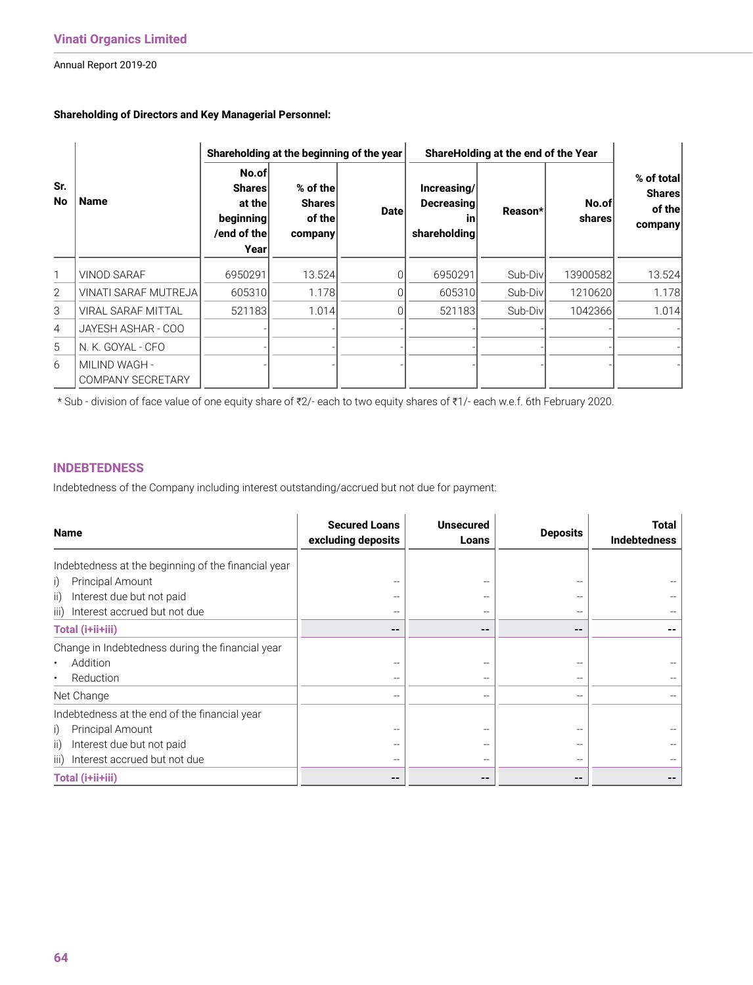#### **Shareholding of Directors and Key Managerial Personnel:**

|                       |                                           |                                                                                        |                                                | Shareholding at the beginning of the year                             | ShareHolding at the end of the Year |                 |                                                  |        |
|-----------------------|-------------------------------------------|----------------------------------------------------------------------------------------|------------------------------------------------|-----------------------------------------------------------------------|-------------------------------------|-----------------|--------------------------------------------------|--------|
| Sr.<br><b>No</b><br>1 | <b>Name</b>                               | No.of<br><b>Shares</b><br>at the<br>$begin{bmatrix}$ beginning<br>/end of the<br>Yearl | % of the<br><b>Shares</b><br>of the<br>company | Increasing/<br><b>Decreasing</b><br><b>Date</b><br>ın<br>shareholding | Reason*                             | No.of<br>shares | % of total<br><b>Shares</b><br>of the<br>company |        |
|                       | <b>VINOD SARAF</b>                        | 6950291                                                                                | 13.524                                         |                                                                       | 6950291                             | Sub-Div         | 13900582                                         | 13.524 |
| $\overline{2}$        | <b>VINATI SARAF MUTREJA</b>               | 605310                                                                                 | 1.178                                          |                                                                       | 605310                              | Sub-Div         | 1210620                                          | 1.178  |
| 3                     | <b>VIRAL SARAF MITTAL</b>                 | 521183                                                                                 | 1.014                                          |                                                                       | 521183                              | Sub-Div         | 1042366                                          | 1.014  |
| 4                     | JAYESH ASHAR - COO                        |                                                                                        |                                                |                                                                       |                                     |                 |                                                  |        |
| 5                     | N. K. GOYAL - CFO                         |                                                                                        |                                                |                                                                       |                                     |                 |                                                  |        |
| 6                     | MILIND WAGH -<br><b>COMPANY SECRETARY</b> |                                                                                        |                                                |                                                                       |                                     |                 |                                                  |        |

\* Sub - division of face value of one equity share of ₹2/- each to two equity shares of ₹1/- each w.e.f. 6th February 2020.

#### **INDEBTEDNESS**

Indebtedness of the Company including interest outstanding/accrued but not due for payment:

| <b>Name</b>                                         | <b>Secured Loans</b><br>excluding deposits | <b>Unsecured</b><br>Loans | <b>Deposits</b>        | Total<br><b>Indebtedness</b> |
|-----------------------------------------------------|--------------------------------------------|---------------------------|------------------------|------------------------------|
| Indebtedness at the beginning of the financial year |                                            |                           |                        |                              |
| Principal Amount<br>i)                              |                                            |                           |                        |                              |
| Interest due but not paid<br>ii)                    |                                            |                           |                        |                              |
| iii) Interest accrued but not due                   |                                            |                           |                        |                              |
| Total (i+ii+iii)                                    | --                                         | $- -$                     | --                     |                              |
| Change in Indebtedness during the financial year    |                                            |                           |                        |                              |
| Addition<br>$\bullet$                               |                                            |                           |                        |                              |
| Reduction<br>$\bullet$                              |                                            |                           |                        |                              |
| Net Change                                          |                                            |                           |                        |                              |
| Indebtedness at the end of the financial year       |                                            |                           |                        |                              |
| Principal Amount<br>i)                              |                                            |                           |                        |                              |
| Interest due but not paid<br>ii)                    |                                            |                           |                        |                              |
| iii) Interest accrued but not due                   |                                            |                           |                        |                              |
| Total (i+ii+iii)                                    | --                                         | --                        | $\qquad \qquad \cdots$ |                              |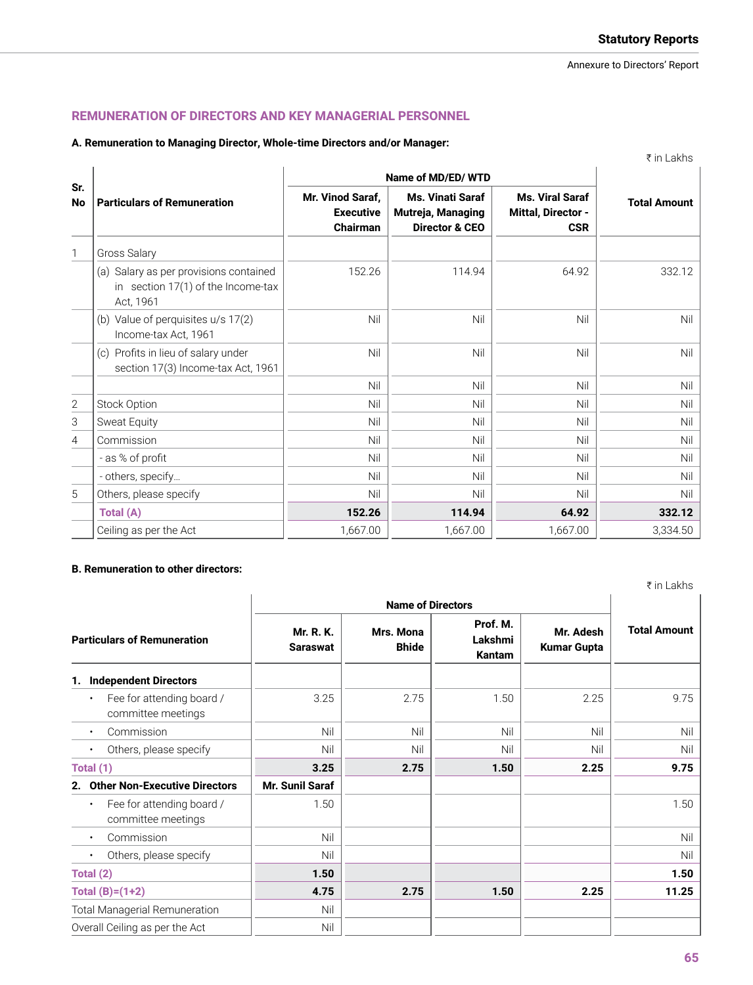# **REMUNERATION OF DIRECTORS AND KEY MANAGERIAL PERSONNEL**

# **A. Remuneration to Managing Director, Whole-time Directors and/or Manager:**

|                |                                                                                           | Name of MD/ED/WTD                                       |                                                                           |                                                            |                     |
|----------------|-------------------------------------------------------------------------------------------|---------------------------------------------------------|---------------------------------------------------------------------------|------------------------------------------------------------|---------------------|
| Sr.<br>No      | <b>Particulars of Remuneration</b>                                                        | Mr. Vinod Saraf,<br><b>Executive</b><br><b>Chairman</b> | <b>Ms. Vinati Saraf</b><br>Mutreja, Managing<br><b>Director &amp; CEO</b> | <b>Ms. Viral Saraf</b><br>Mittal, Director -<br><b>CSR</b> | <b>Total Amount</b> |
| $\mathbf{1}$   | <b>Gross Salary</b>                                                                       |                                                         |                                                                           |                                                            |                     |
|                | (a) Salary as per provisions contained<br>in section 17(1) of the Income-tax<br>Act, 1961 | 152.26                                                  | 114.94                                                                    | 64.92                                                      | 332.12              |
|                | (b) Value of perquisites u/s 17(2)<br>Income-tax Act, 1961                                | Nil                                                     | Nil                                                                       | Nil                                                        | Ni                  |
|                | (c) Profits in lieu of salary under<br>section 17(3) Income-tax Act, 1961                 | Nil                                                     | Nil                                                                       | Nil                                                        | Ni                  |
|                |                                                                                           | Nil                                                     | Nil                                                                       | Nil                                                        | Ni                  |
| $\mathbf{2}$   | Stock Option                                                                              | Nil                                                     | Nil                                                                       | Nil                                                        | Ni                  |
| 3              | Sweat Equity                                                                              | Nil                                                     | Nil                                                                       | Nil                                                        | Ni                  |
| $\overline{4}$ | Commission                                                                                | Nil                                                     | Nil                                                                       | Nil                                                        | Ni                  |
|                | - as % of profit                                                                          | Nil                                                     | Nil                                                                       | Nil                                                        | Ni                  |
|                | - others, specify                                                                         | Nil                                                     | Nil                                                                       | Nil                                                        | Ni                  |
| 5              | Others, please specify                                                                    | Nil                                                     | Nil                                                                       | Nil                                                        | Ni                  |
|                | Total (A)                                                                                 | 152.26                                                  | 114.94                                                                    | 64.92                                                      | 332.12              |
|                | Ceiling as per the Act                                                                    | 1,667.00                                                | 1,667.00                                                                  | 1,667.00                                                   | 3,334.50            |

# **B. Remuneration to other directors:**

|                              |                           |                               |                                 | ₹ in Lakhs          |  |
|------------------------------|---------------------------|-------------------------------|---------------------------------|---------------------|--|
|                              |                           |                               |                                 |                     |  |
| Mr. R. K.<br><b>Saraswat</b> | Mrs. Mona<br><b>Bhide</b> | Prof. M.<br>Lakshmi<br>Kantam | Mr. Adesh<br><b>Kumar Gupta</b> | <b>Total Amount</b> |  |
|                              |                           |                               |                                 |                     |  |
| 3.25                         | 2.75                      | 1.50                          | 2.25                            | 9.75                |  |
| Nil                          | Nil                       | Nil                           | Nil                             | Nil                 |  |
| Nil                          | Nil                       | Nil                           | Nil                             | Nil                 |  |
| 3.25                         | 2.75                      | 1.50                          | 2.25                            | 9.75                |  |
| Mr. Sunil Saraf              |                           |                               |                                 |                     |  |
| 1.50                         |                           |                               |                                 | 1.50                |  |
| Nil                          |                           |                               |                                 | Nil                 |  |
| Nil                          |                           |                               |                                 | Nil                 |  |
| 1.50                         |                           |                               |                                 | 1.50                |  |
| 4.75                         | 2.75                      | 1.50                          | 2.25                            | 11.25               |  |
| Nil                          |                           |                               |                                 |                     |  |
| Nil                          |                           |                               |                                 |                     |  |
|                              |                           |                               | <b>Name of Directors</b>        |                     |  |

₹ in Lakhs